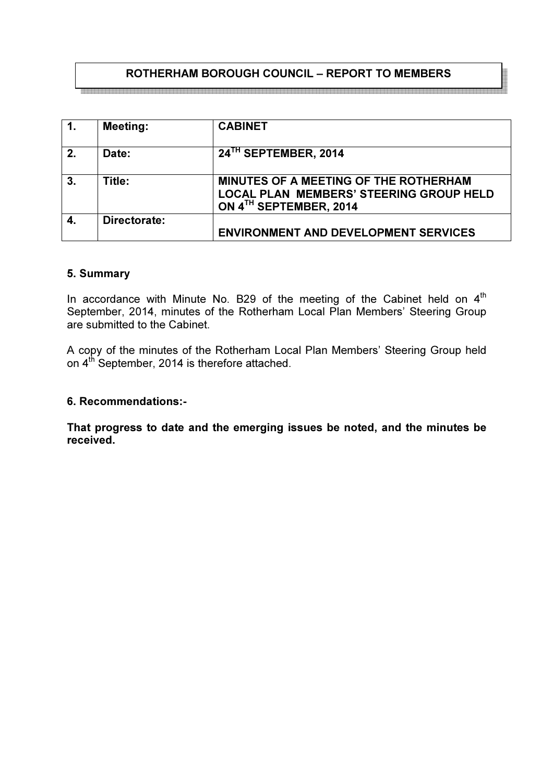# ROTHERHAM BOROUGH COUNCIL – REPORT TO MEMBERS

a biya biya da da da biya da biya da biya da biya da biya biya da biya da biya da biya da biya da biya da biya da biya da biya da biya da

| $\overline{1}$ . | <b>Meeting:</b> | <b>CABINET</b>                                                                                                    |
|------------------|-----------------|-------------------------------------------------------------------------------------------------------------------|
| 2.               | Date:           | 24 <sup>TH</sup> SEPTEMBER, 2014                                                                                  |
| 3.               | Title:          | MINUTES OF A MEETING OF THE ROTHERHAM<br><b>LOCAL PLAN MEMBERS' STEERING GROUP HELD</b><br>ON 4TH SEPTEMBER, 2014 |
| $\boldsymbol{4}$ | Directorate:    | <b>ENVIRONMENT AND DEVELOPMENT SERVICES</b>                                                                       |

#### 5. Summary

In accordance with Minute No. B29 of the meeting of the Cabinet held on  $4<sup>th</sup>$ September, 2014, minutes of the Rotherham Local Plan Members' Steering Group are submitted to the Cabinet.

A copy of the minutes of the Rotherham Local Plan Members' Steering Group held on 4<sup>th</sup> September, 2014 is therefore attached.

#### 6. Recommendations:-

That progress to date and the emerging issues be noted, and the minutes be received.